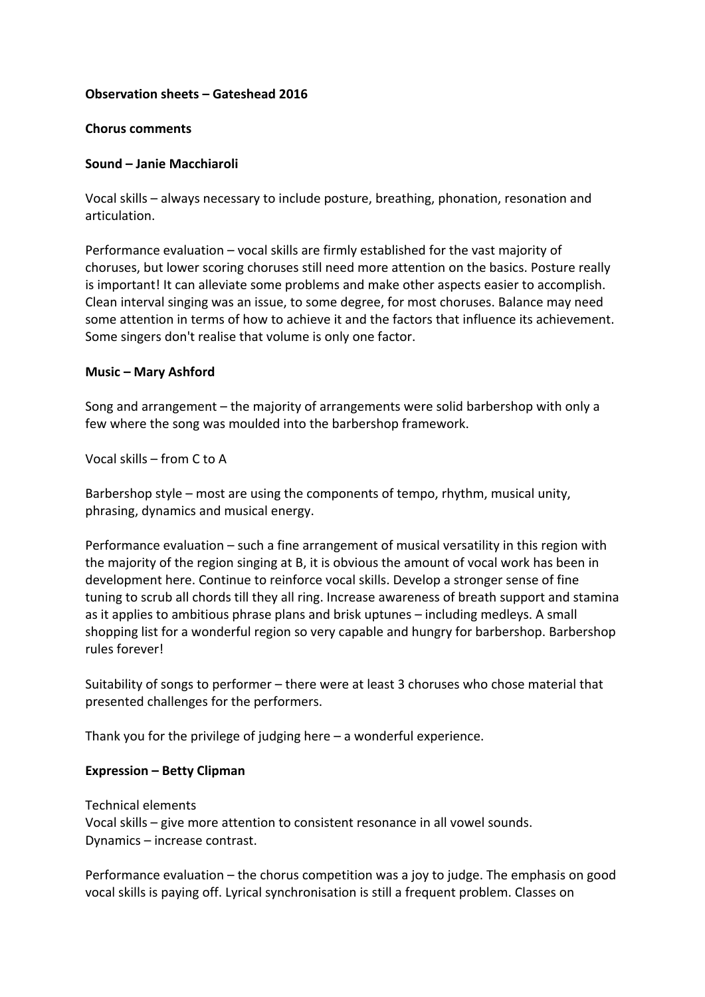# **Observation sheets – Gateshead 2016**

#### **Chorus comments**

# **Sound – Janie Macchiaroli**

Vocal skills – always necessary to include posture, breathing, phonation, resonation and articulation. 

Performance evaluation  $-$  vocal skills are firmly established for the vast majority of choruses, but lower scoring choruses still need more attention on the basics. Posture really is important! It can alleviate some problems and make other aspects easier to accomplish. Clean interval singing was an issue, to some degree, for most choruses. Balance may need some attention in terms of how to achieve it and the factors that influence its achievement. Some singers don't realise that volume is only one factor.

# **Music – Mary Ashford**

Song and arrangement  $-$  the majority of arrangements were solid barbershop with only a few where the song was moulded into the barbershop framework.

Vocal skills – from C to A

Barbershop style – most are using the components of tempo, rhythm, musical unity, phrasing, dynamics and musical energy.

Performance evaluation  $-$  such a fine arrangement of musical versatility in this region with the majority of the region singing at B, it is obvious the amount of vocal work has been in development here. Continue to reinforce vocal skills. Develop a stronger sense of fine tuning to scrub all chords till they all ring. Increase awareness of breath support and stamina as it applies to ambitious phrase plans and brisk uptunes – including medleys. A small shopping list for a wonderful region so very capable and hungry for barbershop. Barbershop rules forever!

Suitability of songs to performer – there were at least 3 choruses who chose material that presented challenges for the performers.

Thank you for the privilege of judging here  $-$  a wonderful experience.

#### **Expression – Betty Clipman**

Technical elements Vocal skills – give more attention to consistent resonance in all vowel sounds. Dynamics – increase contrast.

Performance evaluation  $-$  the chorus competition was a joy to judge. The emphasis on good vocal skills is paying off. Lyrical synchronisation is still a frequent problem. Classes on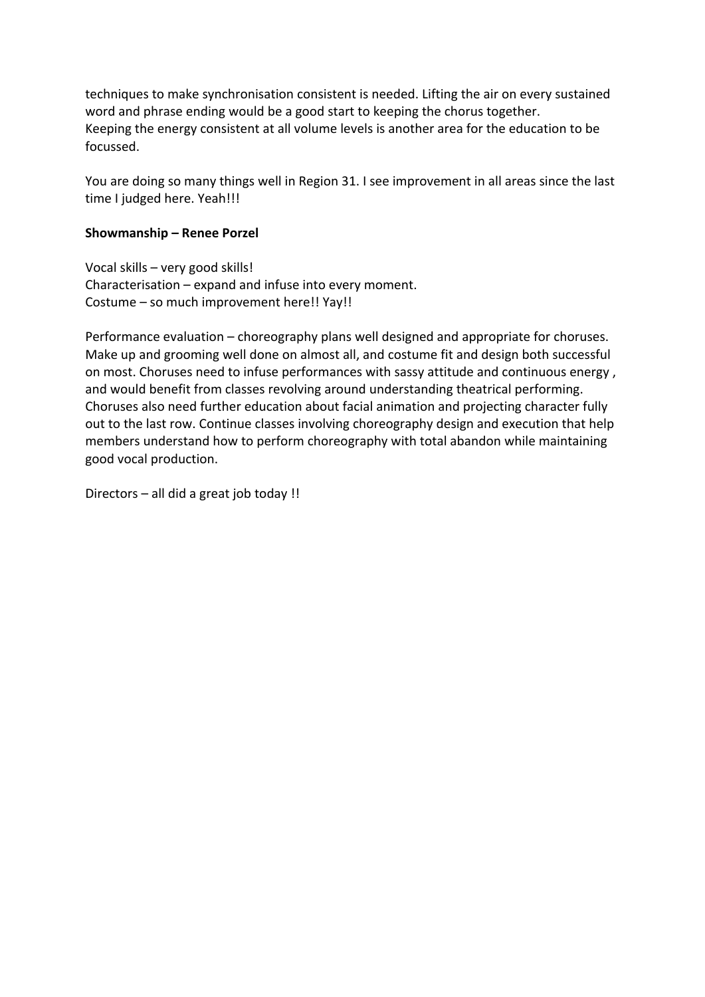techniques to make synchronisation consistent is needed. Lifting the air on every sustained word and phrase ending would be a good start to keeping the chorus together. Keeping the energy consistent at all volume levels is another area for the education to be focussed. 

You are doing so many things well in Region 31. I see improvement in all areas since the last time I judged here. Yeah!!!

#### **Showmanship – Renee Porzel**

Vocal skills  $-$  very good skills! Characterisation  $-$  expand and infuse into every moment. Costume – so much improvement here!! Yay!!

Performance evaluation – choreography plans well designed and appropriate for choruses. Make up and grooming well done on almost all, and costume fit and design both successful on most. Choruses need to infuse performances with sassy attitude and continuous energy, and would benefit from classes revolving around understanding theatrical performing. Choruses also need further education about facial animation and projecting character fully out to the last row. Continue classes involving choreography design and execution that help members understand how to perform choreography with total abandon while maintaining good vocal production.

Directors  $-$  all did a great job today !!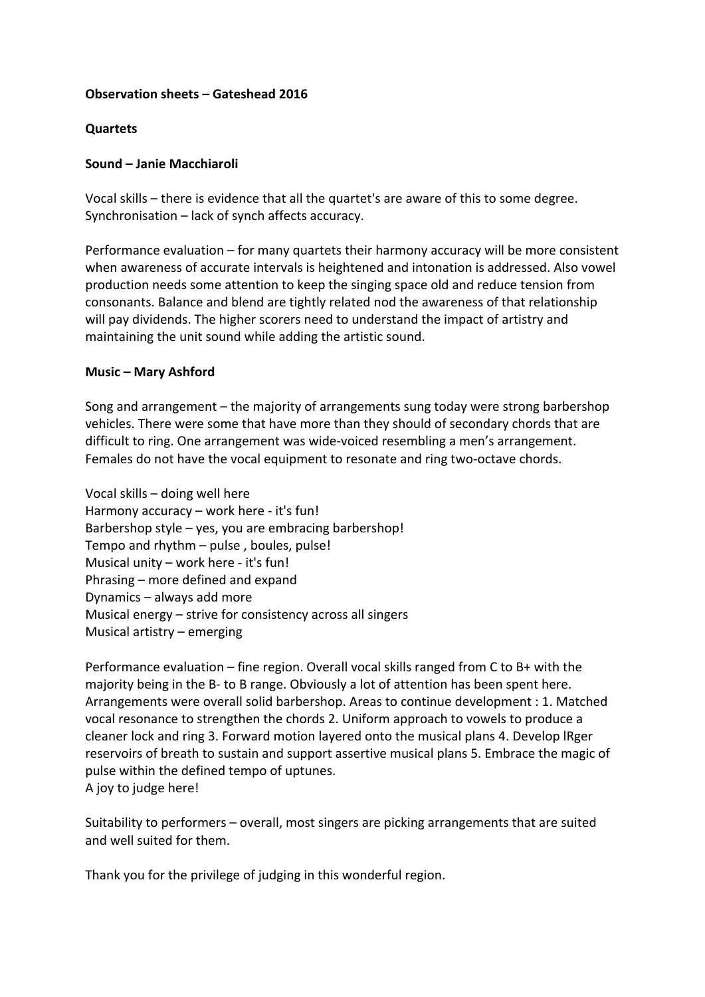# **Observation sheets – Gateshead 2016**

# **Quartets**

# **Sound – Janie Macchiaroli**

Vocal skills – there is evidence that all the quartet's are aware of this to some degree. Synchronisation – lack of synch affects accuracy.

Performance evaluation – for many quartets their harmony accuracy will be more consistent when awareness of accurate intervals is heightened and intonation is addressed. Also vowel production needs some attention to keep the singing space old and reduce tension from consonants. Balance and blend are tightly related nod the awareness of that relationship will pay dividends. The higher scorers need to understand the impact of artistry and maintaining the unit sound while adding the artistic sound.

# **Music – Mary Ashford**

Song and arrangement  $-$  the majority of arrangements sung today were strong barbershop vehicles. There were some that have more than they should of secondary chords that are difficult to ring. One arrangement was wide-voiced resembling a men's arrangement. Females do not have the vocal equipment to resonate and ring two-octave chords.

Vocal skills – doing well here Harmony accuracy – work here - it's fun! Barbershop style  $-$  yes, you are embracing barbershop! Tempo and  $r$ hythm  $-$  pulse, boules, pulse! Musical unity  $-$  work here - it's fun! Phrasing  $-$  more defined and expand Dynamics – always add more Musical energy  $-$  strive for consistency across all singers Musical artistry  $-$  emerging

Performance evaluation – fine region. Overall vocal skills ranged from C to B+ with the majority being in the B- to B range. Obviously a lot of attention has been spent here. Arrangements were overall solid barbershop. Areas to continue development : 1. Matched vocal resonance to strengthen the chords 2. Uniform approach to vowels to produce a cleaner lock and ring 3. Forward motion layered onto the musical plans 4. Develop IRger reservoirs of breath to sustain and support assertive musical plans 5. Embrace the magic of pulse within the defined tempo of uptunes. A joy to judge here!

Suitability to performers – overall, most singers are picking arrangements that are suited and well suited for them.

Thank you for the privilege of judging in this wonderful region.